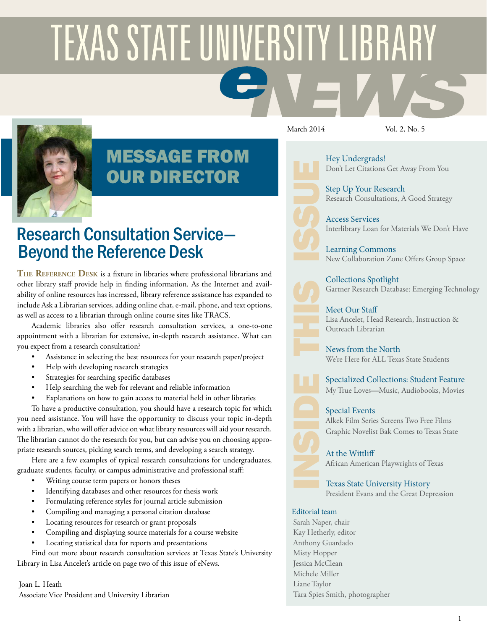# **TEXAS STATE UNIVERSITY LIBRARY**



# MESSAGE FROM OUR DIRECTOR

# Research Consultation Service— Beyond the Reference Desk

**The Reference Desk** is a fixture in libraries where professional librarians and other library staff provide help in finding information. As the Internet and availability of online resources has increased, library reference assistance has expanded to include Ask a Librarian services, adding online chat, e-mail, phone, and text options, as well as access to a librarian through online course sites like TRACS.

Academic libraries also offer research consultation services, a one-to-one appointment with a librarian for extensive, in-depth research assistance. What can you expect from a research consultation?

- Assistance in selecting the best resources for your research paper/project
- Help with developing research strategies
- Strategies for searching specific databases
- Help searching the web for relevant and reliable information
- Explanations on how to gain access to material held in other libraries

To have a productive consultation, you should have a research topic for which you need assistance. You will have the opportunity to discuss your topic in-depth with a librarian, who will offer advice on what library resources will aid your research. The librarian cannot do the research for you, but can advise you on choosing appropriate research sources, picking search terms, and developing a search strategy.

Here are a few examples of typical research consultations for undergraduates, graduate students, faculty, or campus administrative and professional staff:

- Writing course term papers or honors theses
- Identifying databases and other resources for thesis work
- Formulating reference styles for journal article submission
- Compiling and managing a personal citation database
- Locating resources for research or grant proposals
- Compiling and displaying source materials for a course website
- Locating statistical data for reports and presentations

Find out more about research consultation services at Texas State's University Library in Lisa Ancelet's article on page two of this issue of eNews.

Joan L. Heath Associate Vice President and University Librarian

March 2014 Vol. 2, No. 5

[Hey Undergrads!](#page-1-0) Don't Let Citations Get Away From You

[Step Up Your Research](#page-1-1) Research Consultations, A Good Strategy

[Access Services](#page-2-0) Interlibrary Loan for Materials We Don't Have

[Learning Commons](#page-2-1) New Collaboration Zone Offers Group Space

[Collections Spotlight](#page-3-0) Gartner Research Database: Emerging Technology

[Meet Our Staff](#page-3-1) Lisa Ancelet, Head Research, Instruction & Outreach Librarian

[News from the North](#page-4-0) We're Here for ALL Texas State Students

[Specialized Collections: Student Feature](#page-4-1) My True Loves—Music, Audiobooks, Movies

### [Special Events](#page-5-0)

Alkek Film Series Screens Two Free Films Graphic Novelist Bak Comes to Texas State

[At the Wittliff](#page-6-0) African American Playwrights of Texas

[Texas State University History](#page-7-0) President Evans and the Great Depression

### Editorial team

Sarah Naper, chair Kay Hetherly, editor Anthony Guardado Misty Hopper Jessica McClean Michele Miller Liane Taylor Tara Spies Smith, photographer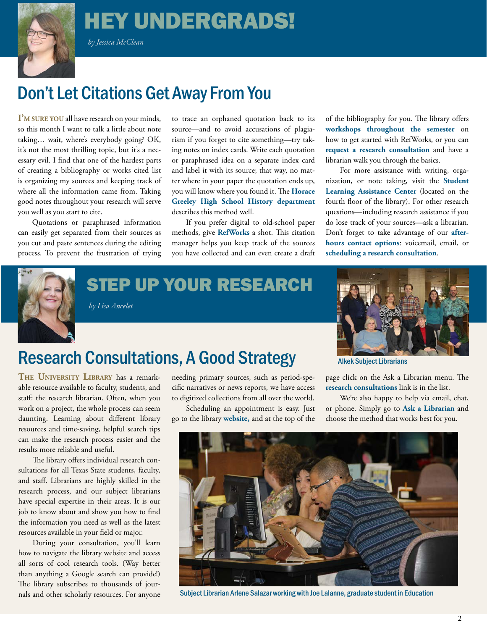# HEY UNDERGRADS!

 *by Jessica McClean*

<span id="page-1-0"></span>

# Don't Let Citations Get Away From You

**I'm sure you** all have research on your minds, so this month I want to talk a little about note taking… wait, where's everybody going? OK, it's not the most thrilling topic, but it's a necessary evil. I find that one of the hardest parts of creating a bibliography or works cited list is organizing my sources and keeping track of where all the information came from. Taking good notes throughout your research will serve you well as you start to cite.

Quotations or paraphrased information can easily get separated from their sources as you cut and paste sentences during the editing process. To prevent the frustration of trying

to trace an orphaned quotation back to its source—and to avoid accusations of plagiarism if you forget to cite something—try taking notes on index cards. Write each quotation or paraphrased idea on a separate index card and label it with its source; that way, no matter where in your paper the quotation ends up, you will know where you found it. The **[Horace](http://www2.chappaqua.k12.ny.us/hgfaculty/majagels/Historia/step3.htm) [Greeley High School History department](http://www2.chappaqua.k12.ny.us/hgfaculty/majagels/Historia/step3.htm)**  describes this method well.

If you prefer digital to old-school paper methods, give **[RefWorks](http://www.library.txstate.edu/about/departments/ref/refworks)** a shot. This citation manager helps you keep track of the sources you have collected and can even create a draft

of the bibliography for you. The library offers **[workshops throughout the semester](http://www.library.txstate.edu/research/workshops.html)** on how to get started with RefWorks, or you can **[request a research consultation](http://www.library.txstate.edu/askalibrarian/individual.html)** and have a librarian walk you through the basics.

For more assistance with writing, organization, or note taking, visit the **[Student](http://www.txstate.edu/slac/WritingHelp.html)  [Learning Assistance Center](http://www.txstate.edu/slac/WritingHelp.html)** (located on the fourth floor of the library). For other research questions—including research assistance if you do lose track of your sources—ask a librarian. Don't forget to take advantage of our **[after](http://www.library.txstate.edu/askalibrarian.html)[hours contact options](http://www.library.txstate.edu/askalibrarian.html)**: voicemail, email, or **[scheduling a research consultation](http://www.library.txstate.edu/askalibrarian/individual.html)**.



<span id="page-1-1"></span>STEP UP YOUR RESEARCH





# Research Consultations, A Good Strategy

**The University Library** has a remarkable resource available to faculty, students, and staff: the research librarian. Often, when you work on a project, the whole process can seem daunting. Learning about different library resources and time-saving, helpful search tips can make the research process easier and the results more reliable and useful.

The library offers individual research consultations for all Texas State students, faculty, and staff. Librarians are highly skilled in the research process, and our subject librarians have special expertise in their areas. It is our job to know about and show you how to find the information you need as well as the latest resources available in your field or major.

During your consultation, you'll learn how to navigate the library website and access all sorts of cool research tools. (Way better than anything a Google search can provide!) The library subscribes to thousands of journals and other scholarly resources. For anyone

needing primary sources, such as period-specific narratives or news reports, we have access to digitized collections from all over the world.

Scheduling an appointment is easy. Just go to the library **[website](http://www.library.txstate.edu/),** and at the top of the

Alkek Subject Librarians

page click on the Ask a Librarian menu. The **[research consultations](http://libanalytics.library.txstate.edu/tw.php?i=443&d=1587&w=1031)** link is in the list.

We're also happy to help via email, chat, or phone. Simply go to **[Ask a Librarian](http://askalibrarian.library.txstate.edu/)** and choose the method that works best for you.



Subject Librarian Arlene Salazar working with Joe Lalanne, graduate student in Education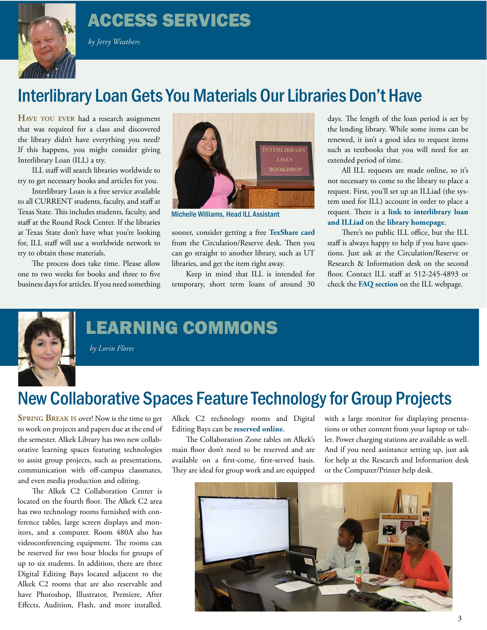# ACCESS SERVICES



### *by Jerry Weathers*

# Interlibrary Loan Gets You Materials Our Libraries Don't Have

**Have you ever** had a research assignment that was required for a class and discovered the library didn't have everything you need? If this happens, you might consider giving Interlibrary Loan (ILL) a try.

ILL staff will search libraries worldwide to try to get necessary books and articles for you.

Interlibrary Loan is a free service available to all CURRENT students, faculty, and staff at Texas State. This includes students, faculty, and staff at the Round Rock Center. If the libraries at Texas State don't have what you're looking for, ILL staff will use a worldwide network to try to obtain those materials.

The process does take time. Please allow one to two weeks for books and three to five business days for articles. If you need something

<span id="page-2-0"></span>

Michelle Williams, Head ILL Assistant

sooner, consider getting a free **[TexShare card](http://www.library.txstate.edu/about/departments/circ/texshare-cards.html)** from the Circulation/Reserve desk. Then you can go straight to another library, such as UT libraries, and get the item right away.

Keep in mind that ILL is intended for temporary, short term loans of around 30 days. The length of the loan period is set by the lending library. While some items can be renewed, it isn't a good idea to request items such as textbooks that you will need for an extended period of time.

All ILL requests are made online, so it's not necessary to come to the library to place a request. First, you'll set up an ILLiad (the system used for ILL) account in order to place a request. There is a **[link to interlibrary loan](http://www.library.txstate.edu/about/departments/ill.html)  [and ILLiad](http://www.library.txstate.edu/about/departments/ill.html)** on the **[library homepage](http://www.library.txstate.edu/)**.

There's no public ILL office, but the ILL staff is always happy to help if you have questions. Just ask at the Circulation/Reserve or Research & Information desk on the second floor. Contact ILL staff at 512-245-4893 or check the **[FAQ section](http://www.library.txstate.edu/about/departments/ill/faq-ill)** on the ILL webpage.



# <span id="page-2-1"></span>LEARNING COMMONS

 *by Lorin Flores*

# New Collaborative Spaces Feature Technology for Group Projects

**Spring Break is** over! Now is the time to get to work on projects and papers due at the end of the semester. Alkek Library has two new collaborative learning spaces featuring technologies to assist group projects, such as presentations, communication with off-campus classmates, and even media production and editing.

The Alkek C2 Collaboration Center is located on the fourth floor. The Alkek C2 area has two technology rooms furnished with conference tables, large screen displays and monitors, and a computer. Room 480A also has videoconferencing equipment. The rooms can be reserved for two hour blocks for groups of up to six students. In addition, there are three Digital Editing Bays located adjacent to the Alkek C2 rooms that are also reservable and have Photoshop, Illustrator, Premiere, After Effects, Audition, Flash, and more installed.

Alkek C2 technology rooms and Digital Editing Bays can be **[reserved online](https://reservation.library.txstate.edu/)**.

The Collaboration Zone tables on Alkek's main floor don't need to be reserved and are available on a first-come, first-served basis. They are ideal for group work and are equipped

with a large monitor for displaying presentations or other content from your laptop or tablet. Power charging stations are available as well. And if you need assistance setting up, just ask for help at the Research and Information desk or the Computer/Printer help desk.

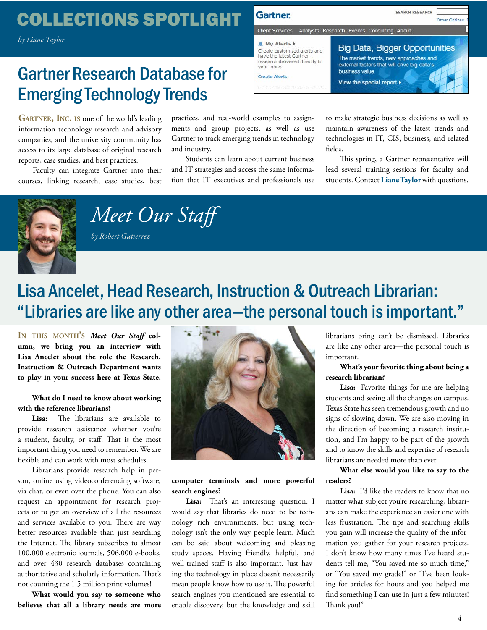# <span id="page-3-0"></span>COLLECTIONS SPOTLIGHT

 *by Liane Taylor*

# Gartner Research Database for Emerging Technology Trends

GARTNER, INC. IS one of the world's leading information technology research and advisory companies, and the university community has access to its large database of original research reports, case studies, and best practices.

Faculty can integrate Gartner into their courses, linking research, case studies, best practices, and real-world examples to assignments and group projects, as well as use Gartner to track emerging trends in technology and industry.

Students can learn about current business and IT strategies and access the same information that IT executives and professionals use



to make strategic business decisions as well as maintain awareness of the latest trends and technologies in IT, CIS, business, and related fields.

This spring, a Gartner representative will lead several training sessions for faculty and students. Contact **[Liane Taylor](mailto:ll44%40txstate.edu?subject=)** with questions.



 *by Robert Gutierrez*

<span id="page-3-1"></span> *Meet Our Staff*

# Lisa Ancelet, Head Research, Instruction & Outreach Librarian: "Libraries are like any other area—the personal touch is important."

**In this month's** *Meet Our Staff* **column, we bring you an interview with Lisa Ancelet about the role the Research, Instruction & Outreach Department wants to play in your success here at Texas State.**

### **What do I need to know about working with the reference librarians?**

**Lisa:** The librarians are available to provide research assistance whether you're a student, faculty, or staff. That is the most important thing you need to remember. We are flexible and can work with most schedules.

Librarians provide research help in person, online using videoconferencing software, via chat, or even over the phone. You can also request an appointment for research projects or to get an overview of all the resources and services available to you. There are way better resources available than just searching the Internet. The library subscribes to almost 100,000 electronic journals, 506,000 e-books, and over 430 research databases containing authoritative and scholarly information. That's not counting the 1.5 million print volumes!

**What would you say to someone who believes that all a library needs are more** 



### **computer terminals and more powerful search engines?**

Lisa: That's an interesting question. I would say that libraries do need to be technology rich environments, but using technology isn't the only way people learn. Much can be said about welcoming and pleasing study spaces. Having friendly, helpful, and well-trained staff is also important. Just having the technology in place doesn't necessarily mean people know how to use it. The powerful search engines you mentioned are essential to enable discovery, but the knowledge and skill

librarians bring can't be dismissed. Libraries are like any other area—the personal touch is important.

### **What's your favorite thing about being a research librarian?**

**Lisa:** Favorite things for me are helping students and seeing all the changes on campus. Texas State has seen tremendous growth and no signs of slowing down. We are also moving in the direction of becoming a research institution, and I'm happy to be part of the growth and to know the skills and expertise of research librarians are needed more than ever.

### **What else would you like to say to the readers?**

**Lisa:** I'd like the readers to know that no matter what subject you're researching, librarians can make the experience an easier one with less frustration. The tips and searching skills you gain will increase the quality of the information you gather for your research projects. I don't know how many times I've heard students tell me, "You saved me so much time," or "You saved my grade!" or "I've been looking for articles for hours and you helped me find something I can use in just a few minutes! Thank you!"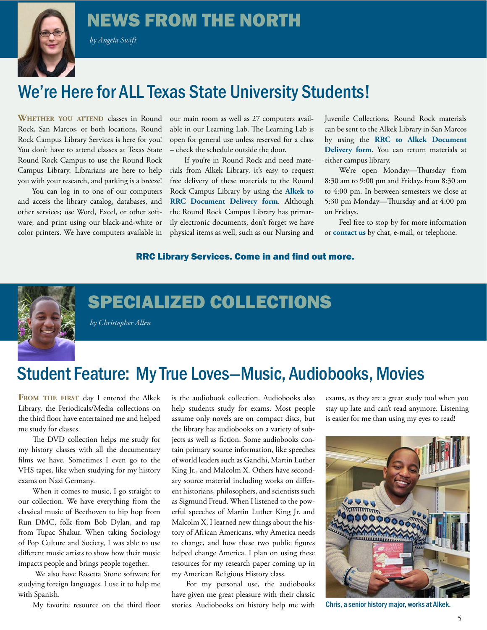# <span id="page-4-0"></span>NEWS FROM THE NORTH

 *by Angela Swift*



# We're Here for ALL Texas State University Students!

**Whether you attend** classes in Round Rock, San Marcos, or both locations, Round Rock Campus Library Services is here for you! You don't have to attend classes at Texas State Round Rock Campus to use the Round Rock Campus Library. Librarians are here to help you with your research, and parking is a breeze!

You can log in to one of our computers and access the library catalog, databases, and other services; use Word, Excel, or other software; and print using our black-and-white or color printers. We have computers available in

our main room as well as 27 computers available in our Learning Lab. The Learning Lab is open for general use unless reserved for a class – check the schedule outside the door.

If you're in Round Rock and need materials from Alkek Library, it's easy to request free delivery of these materials to the Round Rock Campus Library by using the **[Alkek to](http://rrc.library.txstate.edu/document_delivery/rrcrequest)  [RRC Document Delivery form](http://rrc.library.txstate.edu/document_delivery/rrcrequest)**. Although the Round Rock Campus Library has primarily electronic documents, don't forget we have physical items as well, such as our Nursing and

Juvenile Collections. Round Rock materials can be sent to the Alkek Library in San Marcos by using the **[RRC to Alkek Document](http://rrc.library.txstate.edu/document_delivery/alkekrequest.html)  [Delivery form](http://rrc.library.txstate.edu/document_delivery/alkekrequest.html)**. You can return materials at either campus library.

We're open Monday—Thursday from 8:30 am to 9:00 pm and Fridays from 8:30 am to 4:00 pm. In between semesters we close at 5:30 pm Monday—Thursday and at 4:00 pm on Fridays.

Feel free to stop by for more information or **[contact us](http://rrc.library.txstate.edu/about.html)** by chat, e-mail, or telephone.

### RRC Library Services. Come in and find out more.



# <span id="page-4-1"></span>SPECIALIZED COLLECTIONS

 *by Christopher Allen*

# Student Feature: My True Loves—Music, Audiobooks, Movies

**From the first** day I entered the Alkek Library, the Periodicals/Media collections on the third floor have entertained me and helped me study for classes.

The DVD collection helps me study for my history classes with all the documentary films we have. Sometimes I even go to the VHS tapes, like when studying for my history exams on Nazi Germany.

When it comes to music, I go straight to our collection. We have everything from the classical music of Beethoven to hip hop from Run DMC, folk from Bob Dylan, and rap from Tupac Shakur. When taking Sociology of Pop Culture and Society, I was able to use different music artists to show how their music impacts people and brings people together.

 We also have Rosetta Stone software for studying foreign languages. I use it to help me with Spanish.

My favorite resource on the third floor

is the audiobook collection. Audiobooks also help students study for exams. Most people assume only novels are on compact discs, but the library has audiobooks on a variety of subjects as well as fiction. Some audiobooks contain primary source information, like speeches of world leaders such as Gandhi, Martin Luther King Jr., and Malcolm X. Others have secondary source material including works on different historians, philosophers, and scientists such as Sigmund Freud. When I listened to the powerful speeches of Martin Luther King Jr. and Malcolm X, I learned new things about the history of African Americans, why America needs to change, and how these two public figures helped change America. I plan on using these resources for my research paper coming up in my American Religious History class.

For my personal use, the audiobooks have given me great pleasure with their classic stories. Audiobooks on history help me with

exams, as they are a great study tool when you stay up late and can't read anymore. Listening is easier for me than using my eyes to read!



Chris, a senior history major, works at Alkek.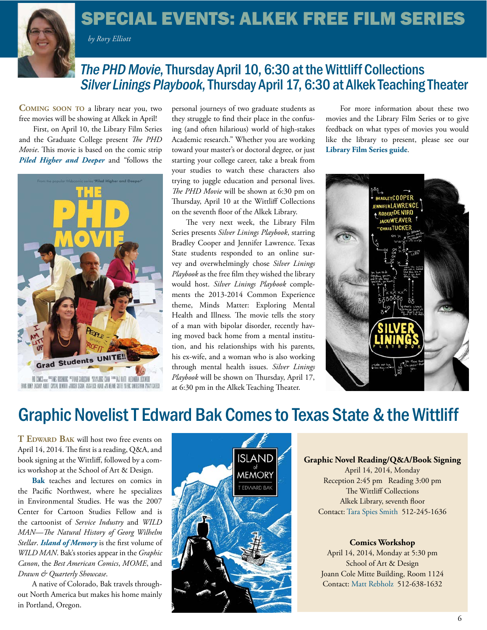

# <span id="page-5-0"></span>SPECIAL EVENTS: ALKEK FREE FILM SERIES

 *by Rory Elliott*

# The PHD Movie, Thursday April 10, 6:30 at the Wittliff Collections Silver Linings Playbook, Thursday April 17, 6:30 at Alkek Teaching Theater

**Coming soon to** a library near you, two free movies will be showing at Alkek in April!

First, on April 10, the Library Film Series and the Graduate College present *The PHD Movie*. This movie is based on the comic strip *[Piled Higher and Deeper](http://phdcomics.com/comics.php)* and "follows the



TACARY ABOUT CRISTAL DIVISITY (1989) SIGNAL ASSAULTS ADAID AS MEANS CUTTER SERIC SANTESTERA PISATI CALIES

personal journeys of two graduate students as they struggle to find their place in the confusing (and often hilarious) world of high-stakes Academic research." Whether you are working toward your master's or doctoral degree, or just starting your college career, take a break from your studies to watch these characters also trying to juggle education and personal lives. *The PHD Movie* will be shown at 6:30 pm on Thursday, April 10 at the Wittliff Collections on the seventh floor of the Alkek Library.

The very next week, the Library Film Series presents *Silver Linings Playbook*, starring Bradley Cooper and Jennifer Lawrence. Texas State students responded to an online survey and overwhelmingly chose *Silver Linings Playbook* as the free film they wished the library would host. *Silver Linings Playbook* complements the 2013-2014 Common Experience theme, Minds Matter: Exploring Mental Health and Illness*.* The movie tells the story of a man with bipolar disorder, recently having moved back home from a mental institution, and his relationships with his parents, his ex-wife, and a woman who is also working through mental health issues. *Silver Linings Playbook* will be shown on Thursday, April 17, at 6:30 pm in the Alkek Teaching Theater.

For more information about these two movies and the Library Film Series or to give feedback on what types of movies you would like the library to present, please see our **L[ibrary Film Series guide](http://libguides.txstate.edu/libraryfilmseries)**.



# Graphic Novelist T Edward Bak Comes to Texas State & the Wittliff

**T EDWARD BAK** will host two free events on April 14, 2014. The first is a reading, Q&A, and book signing at the Wittliff, followed by a comics workshop at the School of Art & Design.

**[Bak](http://www.antizerogravity.com/)** teaches and lectures on comics in the Pacific Northwest, where he specializes in Environmental Studies. He was the 2007 Center for Cartoon Studies Fellow and is the cartoonist of *Service Industry* and *WILD MAN—The Natural History of Georg Wilhelm Stellar*. *[Island of Memory](http://floatingworldcomics.com/shop/comic-books/island-of-memory-by-t-edward-bak)* is the first volume of *WILD MAN*. Bak's stories appear in the *Graphic Canon*, the *Best American Comics*, *MOME*, and *Drawn & Quarterly Showcase*.

A native of Colorado, Bak travels throughout North America but makes his home mainly in Portland, Oregon.



### **Graphic Novel Reading/Q&A/Book Signing**

April 14, 2014, Monday Reception 2:45 pm Reading 3:00 pm The Wittliff Collections Alkek Library, seventh floor Contact: [Tara Spies Smith](mailto:ts20%40txstate.edu?subject=) 512-245-1636

### **Comics Workshop**

April 14, 2014, Monday at 5:30 pm School of Art & Design Joann Cole Mitte Building, Room 1124 Contact: [Matt Rebholz 5](mailto:mr52%40txstate.edu?subject=)12-638-1632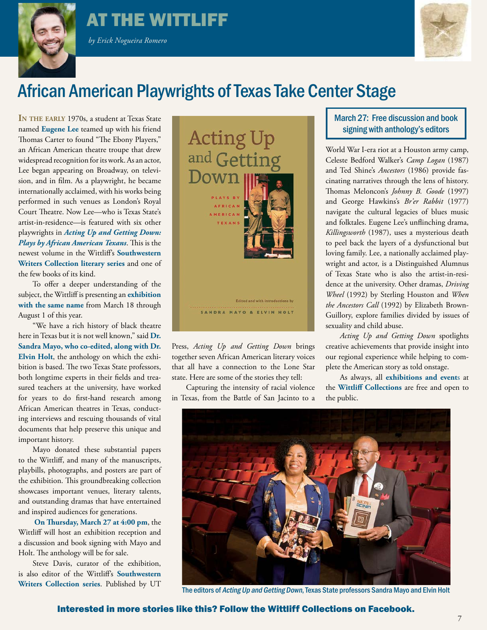

# <span id="page-6-0"></span>AT THE WITTLIFF

 *by Erick Nogueira Romero* 



# African American Playwrights of Texas Take Center Stage

IN THE EARLY 1970s, a student at Texas State named **[Eugene Lee](http://www.eugeneleeonline.com/)** teamed up with his friend Thomas Carter to found "The Ebony Players," an African American theatre troupe that drew widespread recognition for its work. As an actor, Lee began appearing on Broadway, on television, and in film. As a playwright, he became internationally acclaimed, with his works being performed in such venues as London's Royal Court Theatre. Now Lee—who is Texas State's artist-in-residence—is featured with six other playwrights in *[Acting Up and Getting Down:](http://www.thewittliffcollections.txstate.edu/about/news/march11-2014-actingup.html) [Plays by African American Texans](http://www.thewittliffcollections.txstate.edu/about/news/march11-2014-actingup.html)*. This is the newest volume in the Wittliff's **[Southwestern](http://www.thewittliffcollections.txstate.edu/book-series/writers.html) [Writers Collection literary series](http://www.thewittliffcollections.txstate.edu/book-series/writers.html)** and one of the few books of its kind.

To offer a deeper understanding of the subject, the Wittliff is presenting an **[exhibition](http://www.thewittliffcollections.txstate.edu/exhibitions-events/exhibitions/current.html#acting) [with the same name](http://www.thewittliffcollections.txstate.edu/exhibitions-events/exhibitions/current.html#acting)** from March 18 through August 1 of this year.

"We have a rich history of black theatre here in Texas but it is not well known," said **[Dr.](http://www.txstate.edu/rising-stars/mayo_holt.html) [Sandra Mayo, who co-edited, along with Dr.](http://www.txstate.edu/rising-stars/mayo_holt.html) [Elvin Holt](http://www.txstate.edu/rising-stars/mayo_holt.html)**, the anthology on which the exhibition is based. The two Texas State professors, both longtime experts in their fields and treasured teachers at the university, have worked for years to do first-hand research among African American theatres in Texas, conducting interviews and rescuing thousands of vital documents that help preserve this unique and important history.

Mayo donated these substantial papers to the Wittliff, and many of the manuscripts, playbills, photographs, and posters are part of the exhibition. This groundbreaking collection showcases important venues, literary talents, and outstanding dramas that have entertained and inspired audiences for generations.

**[On Thursday, March 27 at 4:00 pm](http://www.thewittliffcollections.txstate.edu/exhibitions-events/events.html#acting)**, the Wittliff will host an exhibition reception and a discussion and book signing with Mayo and Holt. The anthology will be for sale.

Steve Davis, curator of the exhibition, is also editor of the Wittliff's **[Southwestern](http://www.thewittliffcollections.txstate.edu/book-series/writers.html) [Writers Collection series](http://www.thewittliffcollections.txstate.edu/book-series/writers.html)**. Published by UT



Press, *Acting Up and Getting Down* brings together seven African American literary voices that all have a connection to the Lone Star state. Here are some of the stories they tell:

Capturing the intensity of racial violence in Texas, from the Battle of San Jacinto to a

## March 27: Free discussion and book signing with anthology's editors

World War I-era riot at a Houston army camp, Celeste Bedford Walker's *Camp Logan* (1987) and Ted Shine's *Ancestors* (1986) provide fascinating narratives through the lens of history. Thomas Meloncon's *Johnny B. Goode* (1997) and George Hawkins's *Br'er Rabbit* (1977) navigate the cultural legacies of blues music and folktales. Eugene Lee's unflinching drama, *Killingsworth* (1987), uses a mysterious death to peel back the layers of a dysfunctional but loving family. Lee, a nationally acclaimed playwright and actor, is a Distinguished Alumnus of Texas State who is also the artist-in-residence at the university. Other dramas, *Driving Wheel* (1992) by Sterling Houston and *When the Ancestors Call* (1992) by Elizabeth Brown-Guillory, explore families divided by issues of sexuality and child abuse.

*Acting Up and Getting Down* spotlights creative achievements that provide insight into our regional experience while helping to complete the American story as told onstage.

As always, all **[exhibitions and event](http://www.thewittliffcollections.txstate.edu/exhibitions-events.html)**s at the **[Wittliff Collections](http://www.thewittliffcollections.txstate.edu/)** are free and open to the public.



The editors of Acting Up and Getting Down, Texas State professors Sandra Mayo and Elvin Holt